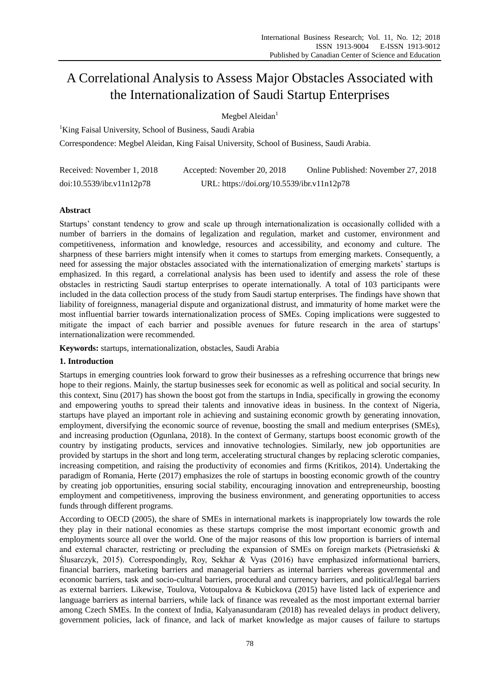# A Correlational Analysis to Assess Major Obstacles Associated with the Internationalization of Saudi Startup Enterprises

Megbel Aleidan $<sup>1</sup>$ </sup>

<sup>1</sup>King Faisal University, School of Business, Saudi Arabia

Correspondence: Megbel Aleidan, King Faisal University, School of Business, Saudi Arabia.

| Received: November 1, 2018 | Accepted: November 20, 2018                | Online Published: November 27, 2018 |
|----------------------------|--------------------------------------------|-------------------------------------|
| doi:10.5539/ibr.v11n12p78  | URL: https://doi.org/10.5539/ibr.v11n12p78 |                                     |

# **Abstract**

Startups' constant tendency to grow and scale up through internationalization is occasionally collided with a number of barriers in the domains of legalization and regulation, market and customer, environment and competitiveness, information and knowledge, resources and accessibility, and economy and culture. The sharpness of these barriers might intensify when it comes to startups from emerging markets. Consequently, a need for assessing the major obstacles associated with the internationalization of emerging markets' startups is emphasized. In this regard, a correlational analysis has been used to identify and assess the role of these obstacles in restricting Saudi startup enterprises to operate internationally. A total of 103 participants were included in the data collection process of the study from Saudi startup enterprises. The findings have shown that liability of foreignness, managerial dispute and organizational distrust, and immaturity of home market were the most influential barrier towards internationalization process of SMEs. Coping implications were suggested to mitigate the impact of each barrier and possible avenues for future research in the area of startups' internationalization were recommended.

**Keywords:** startups, internationalization, obstacles, Saudi Arabia

# **1. Introduction**

Startups in emerging countries look forward to grow their businesses as a refreshing occurrence that brings new hope to their regions. Mainly, the startup businesses seek for economic as well as political and social security. In this context, Sinu (2017) has shown the boost got from the startups in India, specifically in growing the economy and empowering youths to spread their talents and innovative ideas in business. In the context of Nigeria, startups have played an important role in achieving and sustaining economic growth by generating innovation, employment, diversifying the economic source of revenue, boosting the small and medium enterprises (SMEs), and increasing production (Ogunlana, 2018). In the context of Germany, startups boost economic growth of the country by instigating products, services and innovative technologies. Similarly, new job opportunities are provided by startups in the short and long term, accelerating structural changes by replacing sclerotic companies, increasing competition, and raising the productivity of economies and firms (Kritikos, 2014). Undertaking the paradigm of Romania, Herte (2017) emphasizes the role of startups in boosting economic growth of the country by creating job opportunities, ensuring social stability, encouraging innovation and entrepreneurship, boosting employment and competitiveness, improving the business environment, and generating opportunities to access funds through different programs.

According to OECD (2005), the share of SMEs in international markets is inappropriately low towards the role they play in their national economies as these startups comprise the most important economic growth and employments source all over the world. One of the major reasons of this low proportion is barriers of internal and external character, restricting or precluding the expansion of SMEs on foreign markets (Pietrasieński & Ślusarczyk, 2015). Correspondingly, Roy, Sekhar & Vyas (2016) have emphasized informational barriers, financial barriers, marketing barriers and managerial barriers as internal barriers whereas governmental and economic barriers, task and socio-cultural barriers, procedural and currency barriers, and political/legal barriers as external barriers. Likewise, Toulova, Votoupalova & Kubickova (2015) have listed lack of experience and language barriers as internal barriers, while lack of finance was revealed as the most important external barrier among Czech SMEs. In the context of India, Kalyanasundaram (2018) has revealed delays in product delivery, government policies, lack of finance, and lack of market knowledge as major causes of failure to startups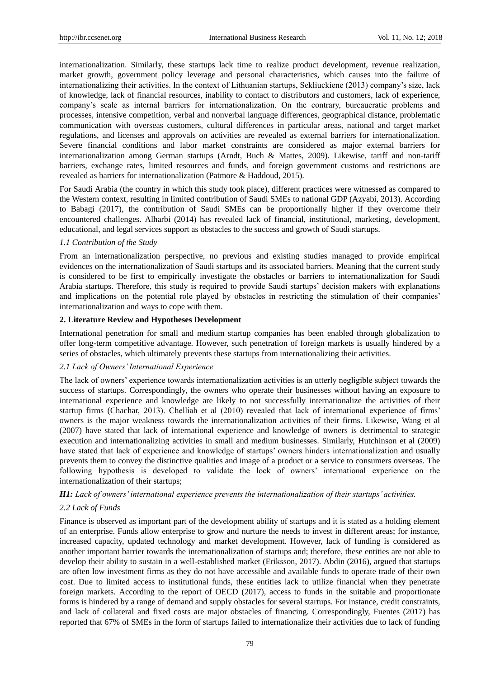internationalization. Similarly, these startups lack time to realize product development, revenue realization, market growth, government policy leverage and personal characteristics, which causes into the failure of internationalizing their activities. In the context of Lithuanian startups, Sekliuckiene (2013) company's size, lack of knowledge, lack of financial resources, inability to contact to distributors and customers, lack of experience, company's scale as internal barriers for internationalization. On the contrary, bureaucratic problems and processes, intensive competition, verbal and nonverbal language differences, geographical distance, problematic communication with overseas customers, cultural differences in particular areas, national and target market regulations, and licenses and approvals on activities are revealed as external barriers for internationalization. Severe financial conditions and labor market constraints are considered as major external barriers for internationalization among German startups (Arndt, Buch & Mattes, 2009). Likewise, tariff and non-tariff barriers, exchange rates, limited resources and funds, and foreign government customs and restrictions are revealed as barriers for internationalization (Patmore & Haddoud, 2015).

For Saudi Arabia (the country in which this study took place), different practices were witnessed as compared to the Western context, resulting in limited contribution of Saudi SMEs to national GDP (Azyabi, 2013). According to Babagi (2017), the contribution of Saudi SMEs can be proportionally higher if they overcome their encountered challenges. Alharbi (2014) has revealed lack of financial, institutional, marketing, development, educational, and legal services support as obstacles to the success and growth of Saudi startups.

#### *1.1 Contribution of the Study*

From an internationalization perspective, no previous and existing studies managed to provide empirical evidences on the internationalization of Saudi startups and its associated barriers. Meaning that the current study is considered to be first to empirically investigate the obstacles or barriers to internationalization for Saudi Arabia startups. Therefore, this study is required to provide Saudi startups' decision makers with explanations and implications on the potential role played by obstacles in restricting the stimulation of their companies' internationalization and ways to cope with them.

# **2. Literature Review and Hypotheses Development**

International penetration for small and medium startup companies has been enabled through globalization to offer long-term competitive advantage. However, such penetration of foreign markets is usually hindered by a series of obstacles, which ultimately prevents these startups from internationalizing their activities.

# *2.1 Lack of Owners' International Experience*

The lack of owners' experience towards internationalization activities is an utterly negligible subject towards the success of startups. Correspondingly, the owners who operate their businesses without having an exposure to international experience and knowledge are likely to not successfully internationalize the activities of their startup firms (Chachar, 2013). Chelliah et al (2010) revealed that lack of international experience of firms' owners is the major weakness towards the internationalization activities of their firms. Likewise, Wang et al (2007) have stated that lack of international experience and knowledge of owners is detrimental to strategic execution and internationalizing activities in small and medium businesses. Similarly, Hutchinson et al (2009) have stated that lack of experience and knowledge of startups' owners hinders internationalization and usually prevents them to convey the distinctive qualities and image of a product or a service to consumers overseas. The following hypothesis is developed to validate the lock of owners' international experience on the internationalization of their startups;

# *H1: Lack of owners' international experience prevents the internationalization of their startups' activities.*

#### *2.2 Lack of Funds*

Finance is observed as important part of the development ability of startups and it is stated as a holding element of an enterprise. Funds allow enterprise to grow and nurture the needs to invest in different areas; for instance, increased capacity, updated technology and market development. However, lack of funding is considered as another important barrier towards the internationalization of startups and; therefore, these entities are not able to develop their ability to sustain in a well-established market (Eriksson, 2017). Abdin (2016), argued that startups are often low investment firms as they do not have accessible and available funds to operate trade of their own cost. Due to limited access to institutional funds, these entities lack to utilize financial when they penetrate foreign markets. According to the report of OECD (2017), access to funds in the suitable and proportionate forms is hindered by a range of demand and supply obstacles for several startups. For instance, credit constraints, and lack of collateral and fixed costs are major obstacles of financing. Correspondingly, Fuentes (2017) has reported that 67% of SMEs in the form of startups failed to internationalize their activities due to lack of funding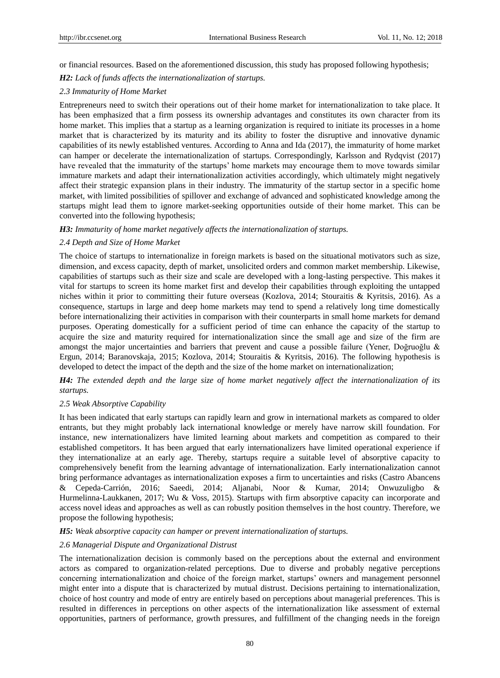or financial resources. Based on the aforementioned discussion, this study has proposed following hypothesis;

*H2: Lack of funds affects the internationalization of startups.*

# *2.3 Immaturity of Home Market*

Entrepreneurs need to switch their operations out of their home market for internationalization to take place. It has been emphasized that a firm possess its ownership advantages and constitutes its own character from its home market. This implies that a startup as a learning organization is required to initiate its processes in a home market that is characterized by its maturity and its ability to foster the disruptive and innovative dynamic capabilities of its newly established ventures. According to Anna and Ida (2017), the immaturity of home market can hamper or decelerate the internationalization of startups. Correspondingly, Karlsson and Rydqvist (2017) have revealed that the immaturity of the startups' home markets may encourage them to move towards similar immature markets and adapt their internationalization activities accordingly, which ultimately might negatively affect their strategic expansion plans in their industry. The immaturity of the startup sector in a specific home market, with limited possibilities of spillover and exchange of advanced and sophisticated knowledge among the startups might lead them to ignore market-seeking opportunities outside of their home market. This can be converted into the following hypothesis;

#### *H3: Immaturity of home market negatively affects the internationalization of startups.*

#### *2.4 Depth and Size of Home Market*

The choice of startups to internationalize in foreign markets is based on the situational motivators such as size, dimension, and excess capacity, depth of market, unsolicited orders and common market membership. Likewise, capabilities of startups such as their size and scale are developed with a long-lasting perspective. This makes it vital for startups to screen its home market first and develop their capabilities through exploiting the untapped niches within it prior to committing their future overseas (Kozlova, 2014; Stouraitis & Kyritsis, 2016). As a consequence, startups in large and deep home markets may tend to spend a relatively long time domestically before internationalizing their activities in comparison with their counterparts in small home markets for demand purposes. Operating domestically for a sufficient period of time can enhance the capacity of the startup to acquire the size and maturity required for internationalization since the small age and size of the firm are amongst the major uncertainties and barriers that prevent and cause a possible failure (Yener, Doğruoğlu & Ergun, 2014; Baranovskaja, 2015; Kozlova, 2014; Stouraitis & Kyritsis, 2016). The following hypothesis is developed to detect the impact of the depth and the size of the home market on internationalization;

# *H4: The extended depth and the large size of home market negatively affect the internationalization of its startups.*

#### *2.5 Weak Absorptive Capability*

It has been indicated that early startups can rapidly learn and grow in international markets as compared to older entrants, but they might probably lack international knowledge or merely have narrow skill foundation. For instance, new internationalizers have limited learning about markets and competition as compared to their established competitors. It has been argued that early internationalizers have limited operational experience if they internationalize at an early age. Thereby, startups require a suitable level of absorptive capacity to comprehensively benefit from the learning advantage of internationalization. Early internationalization cannot bring performance advantages as internationalization exposes a firm to uncertainties and risks (Castro Abancens & Cepeda-Carrión, 2016; Saeedi, 2014; Aljanabi, Noor & Kumar, 2014; Onwuzuligbo & Hurmelinna-Laukkanen, 2017; Wu & Voss, 2015). Startups with firm absorptive capacity can incorporate and access novel ideas and approaches as well as can robustly position themselves in the host country. Therefore, we propose the following hypothesis;

*H5: Weak absorptive capacity can hamper or prevent internationalization of startups.*

# *2.6 Managerial Dispute and Organizational Distrust*

The internationalization decision is commonly based on the perceptions about the external and environment actors as compared to organization-related perceptions. Due to diverse and probably negative perceptions concerning internationalization and choice of the foreign market, startups' owners and management personnel might enter into a dispute that is characterized by mutual distrust. Decisions pertaining to internationalization, choice of host country and mode of entry are entirely based on perceptions about managerial preferences. This is resulted in differences in perceptions on other aspects of the internationalization like assessment of external opportunities, partners of performance, growth pressures, and fulfillment of the changing needs in the foreign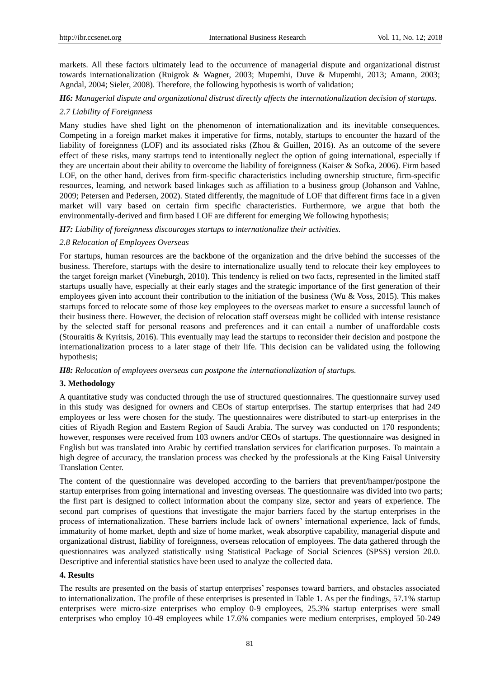markets. All these factors ultimately lead to the occurrence of managerial dispute and organizational distrust towards internationalization (Ruigrok & Wagner, 2003; Mupemhi, Duve & Mupemhi, 2013; Amann, 2003; Agndal, 2004; Sieler, 2008). Therefore, the following hypothesis is worth of validation;

*H6: Managerial dispute and organizational distrust directly affects the internationalization decision of startups.*

## *2.7 Liability of Foreignness*

Many studies have shed light on the phenomenon of internationalization and its inevitable consequences. Competing in a foreign market makes it imperative for firms, notably, startups to encounter the hazard of the liability of foreignness (LOF) and its associated risks (Zhou & Guillen, 2016). As an outcome of the severe effect of these risks, many startups tend to intentionally neglect the option of going international, especially if they are uncertain about their ability to overcome the liability of foreignness (Kaiser & Sofka, 2006). Firm based LOF, on the other hand, derives from firm-specific characteristics including ownership structure, firm-specific resources, learning, and network based linkages such as affiliation to a business group (Johanson and Vahlne, 2009; Petersen and Pedersen, 2002). Stated differently, the magnitude of LOF that different firms face in a given market will vary based on certain firm specific characteristics. Furthermore, we argue that both the environmentally-derived and firm based LOF are different for emerging We following hypothesis;

*H7: Liability of foreignness discourages startups to internationalize their activities.*

# *2.8 Relocation of Employees Overseas*

For startups, human resources are the backbone of the organization and the drive behind the successes of the business. Therefore, startups with the desire to internationalize usually tend to relocate their key employees to the target foreign market (Vineburgh, 2010). This tendency is relied on two facts, represented in the limited staff startups usually have, especially at their early stages and the strategic importance of the first generation of their employees given into account their contribution to the initiation of the business (Wu & Voss, 2015). This makes startups forced to relocate some of those key employees to the overseas market to ensure a successful launch of their business there. However, the decision of relocation staff overseas might be collided with intense resistance by the selected staff for personal reasons and preferences and it can entail a number of unaffordable costs (Stouraitis & Kyritsis, 2016). This eventually may lead the startups to reconsider their decision and postpone the internationalization process to a later stage of their life. This decision can be validated using the following hypothesis;

*H8: Relocation of employees overseas can postpone the internationalization of startups.*

#### **3. Methodology**

A quantitative study was conducted through the use of structured questionnaires. The questionnaire survey used in this study was designed for owners and CEOs of startup enterprises. The startup enterprises that had 249 employees or less were chosen for the study. The questionnaires were distributed to start-up enterprises in the cities of Riyadh Region and Eastern Region of Saudi Arabia. The survey was conducted on 170 respondents; however, responses were received from 103 owners and/or CEOs of startups. The questionnaire was designed in English but was translated into Arabic by certified translation services for clarification purposes. To maintain a high degree of accuracy, the translation process was checked by the professionals at the King Faisal University Translation Center.

The content of the questionnaire was developed according to the barriers that prevent/hamper/postpone the startup enterprises from going international and investing overseas. The questionnaire was divided into two parts; the first part is designed to collect information about the company size, sector and years of experience. The second part comprises of questions that investigate the major barriers faced by the startup enterprises in the process of internationalization. These barriers include lack of owners' international experience, lack of funds, immaturity of home market, depth and size of home market, weak absorptive capability, managerial dispute and organizational distrust, liability of foreignness, overseas relocation of employees. The data gathered through the questionnaires was analyzed statistically using Statistical Package of Social Sciences (SPSS) version 20.0. Descriptive and inferential statistics have been used to analyze the collected data.

#### **4. Results**

The results are presented on the basis of startup enterprises' responses toward barriers, and obstacles associated to internationalization. The profile of these enterprises is presented in Table 1. As per the findings, 57.1% startup enterprises were micro-size enterprises who employ 0-9 employees, 25.3% startup enterprises were small enterprises who employ 10-49 employees while 17.6% companies were medium enterprises, employed 50-249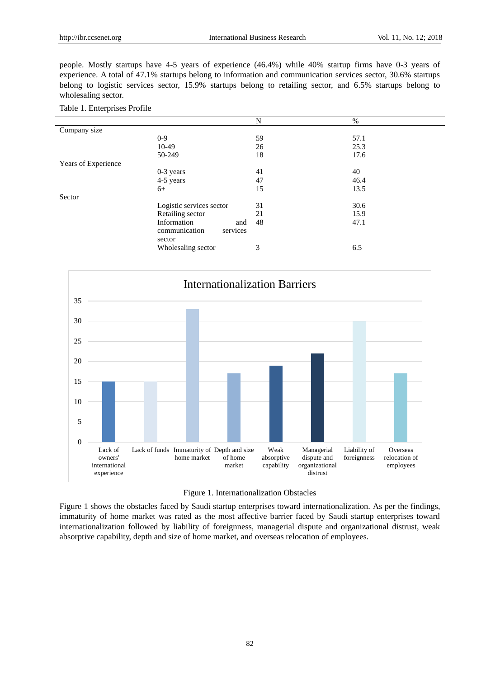people. Mostly startups have 4-5 years of experience (46.4%) while 40% startup firms have 0-3 years of experience. A total of 47.1% startups belong to information and communication services sector, 30.6% startups belong to logistic services sector, 15.9% startups belong to retailing sector, and 6.5% startups belong to wholesaling sector.

|                     |                           | N  | %    |
|---------------------|---------------------------|----|------|
| Company size        |                           |    |      |
|                     | $0-9$                     | 59 | 57.1 |
|                     | 10-49                     | 26 | 25.3 |
|                     | 50-249                    | 18 | 17.6 |
| Years of Experience |                           |    |      |
|                     | $0-3$ years               | 41 | 40   |
|                     | 4-5 years                 | 47 | 46.4 |
|                     | $6+$                      | 15 | 13.5 |
| Sector              |                           |    |      |
|                     | Logistic services sector  | 31 | 30.6 |
|                     | Retailing sector          | 21 | 15.9 |
|                     | Information<br>and        | 48 | 47.1 |
|                     | communication<br>services |    |      |
|                     | sector                    |    |      |
|                     | Wholesaling sector        | 3  | 6.5  |







Figure 1 shows the obstacles faced by Saudi startup enterprises toward internationalization. As per the findings, immaturity of home market was rated as the most affective barrier faced by Saudi startup enterprises toward internationalization followed by liability of foreignness, managerial dispute and organizational distrust, weak absorptive capability, depth and size of home market, and overseas relocation of employees.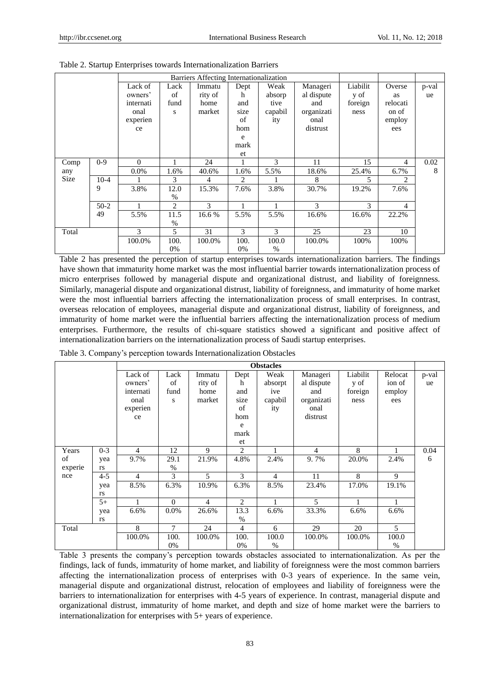|       |         | Barriers Affecting Internationalization |      |         |      |         |            |          |                |       |
|-------|---------|-----------------------------------------|------|---------|------|---------|------------|----------|----------------|-------|
|       |         | Lack of                                 | Lack | Immatu  | Dept | Weak    | Manageri   | Liabilit | Overse         | p-val |
|       |         | owners'                                 | of   | rity of | h    | absorp  | al dispute | y of     | as             | ue    |
|       |         | internati                               | fund | home    | and  | tive    | and        | foreign  | relocati       |       |
|       |         | onal                                    | S    | market  | size | capabil | organizati | ness     | on of          |       |
|       |         | experien                                |      |         | of   | ity     | onal       |          | employ         |       |
|       |         | ce                                      |      |         | hom  |         | distrust   |          | ees            |       |
|       |         |                                         |      |         | e    |         |            |          |                |       |
|       |         |                                         |      |         | mark |         |            |          |                |       |
|       |         |                                         |      |         | et   |         |            |          |                |       |
| Comp  | $0 - 9$ | $\Omega$                                |      | 24      |      | 3       | 11         | 15       | 4              | 0.02  |
| any   |         | $0.0\%$                                 | 1.6% | 40.6%   | 1.6% | 5.5%    | 18.6%      | 25.4%    | 6.7%           | 8     |
| Size  | $10-4$  |                                         | 3    | 4       | 2    |         | 8          | 5        | $\overline{c}$ |       |
|       | 9       | 3.8%                                    | 12.0 | 15.3%   | 7.6% | 3.8%    | 30.7%      | 19.2%    | 7.6%           |       |
|       |         |                                         | $\%$ |         |      |         |            |          |                |       |
|       | $50-2$  |                                         | 2    | 3       |      |         | 3          | 3        | 4              |       |
|       | 49      | 5.5%                                    | 11.5 | 16.6%   | 5.5% | 5.5%    | 16.6%      | 16.6%    | 22.2%          |       |
|       |         |                                         | $\%$ |         |      |         |            |          |                |       |
| Total |         | 3                                       | 5    | 31      | 3    | 3       | 25         | 23       | 10             |       |
|       |         | 100.0%                                  | 100. | 100.0%  | 100. | 100.0   | 100.0%     | 100%     | 100%           |       |
|       |         |                                         | 0%   |         | 0%   | %       |            |          |                |       |

Table 2. Startup Enterprises towards Internationalization Barriers

Table 2 has presented the perception of startup enterprises towards internationalization barriers. The findings have shown that immaturity home market was the most influential barrier towards internationalization process of micro enterprises followed by managerial dispute and organizational distrust, and liability of foreignness. Similarly, managerial dispute and organizational distrust, liability of foreignness, and immaturity of home market were the most influential barriers affecting the internationalization process of small enterprises. In contrast, overseas relocation of employees, managerial dispute and organizational distrust, liability of foreignness, and immaturity of home market were the influential barriers affecting the internationalization process of medium enterprises. Furthermore, the results of chi-square statistics showed a significant and positive affect of internationalization barriers on the internationalization process of Saudi startup enterprises.

Table 3. Company's perception towards Internationalization Obstacles

|         |           | <b>Obstacles</b> |                |                |                |                |                |          |         |       |
|---------|-----------|------------------|----------------|----------------|----------------|----------------|----------------|----------|---------|-------|
|         |           | Lack of          | Lack           | Immatu         | Dept           | Weak           | Manageri       | Liabilit | Relocat | p-val |
|         |           | owners'          | of             | rity of        | h              | absorpt        | al dispute     | y of     | ion of  | ue    |
|         |           | internati        | fund           | home           | and            | ive            | and            | foreign  | employ  |       |
|         |           | onal             | S              | market         | size           | capabil        | organizati     | ness     | ees     |       |
|         |           | experien         |                |                | of             | ity            | onal           |          |         |       |
|         |           | ce               |                |                | hom            |                | distrust       |          |         |       |
|         |           |                  |                |                | e              |                |                |          |         |       |
|         |           |                  |                |                | mark           |                |                |          |         |       |
|         |           |                  |                |                | et             |                |                |          |         |       |
| Years   | $0 - 3$   | $\overline{4}$   | 12             | 9              | 2              |                | $\overline{4}$ | 8        |         | 0.04  |
| of      | yea       | 9.7%             | 29.1           | 21.9%          | 4.8%           | 2.4%           | 9.7%           | 20.0%    | 2.4%    | 6     |
| experie | rs        |                  | $\%$           |                |                |                |                |          |         |       |
| nce     | $4 - 5$   | $\overline{4}$   | 3              | 5              | 3              | $\overline{4}$ | 11             | 8        | 9       |       |
|         | yea       | 8.5%             | 6.3%           | 10.9%          | 6.3%           | 8.5%           | 23.4%          | 17.0%    | 19.1%   |       |
|         | rs        |                  |                |                |                |                |                |          |         |       |
|         | $5+$      |                  | $\overline{0}$ | $\overline{4}$ | $\overline{c}$ |                | 5              |          |         |       |
|         | yea       | 6.6%             | $0.0\%$        | 26.6%          | 13.3           | 6.6%           | 33.3%          | 6.6%     | 6.6%    |       |
|         | <b>rs</b> |                  |                |                | $\%$           |                |                |          |         |       |
| Total   |           | 8                | 7              | 24             | $\overline{4}$ | 6              | 29             | 20       | 5       |       |
|         |           | 100.0%           | 100.           | 100.0%         | 100.           | 100.0          | 100.0%         | 100.0%   | 100.0   |       |
|         |           |                  | 0%             |                | $0\%$          | %              |                |          | %       |       |

Table 3 presents the company's perception towards obstacles associated to internationalization. As per the findings, lack of funds, immaturity of home market, and liability of foreignness were the most common barriers affecting the internationalization process of enterprises with 0-3 years of experience. In the same vein, managerial dispute and organizational distrust, relocation of employees and liability of foreignness were the barriers to internationalization for enterprises with 4-5 years of experience. In contrast, managerial dispute and organizational distrust, immaturity of home market, and depth and size of home market were the barriers to internationalization for enterprises with 5+ years of experience.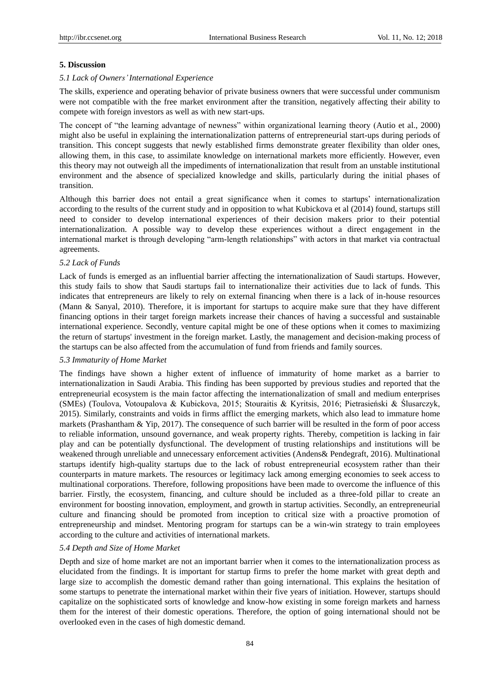## **5. Discussion**

#### *5.1 Lack of Owners' International Experience*

The skills, experience and operating behavior of private business owners that were successful under communism were not compatible with the free market environment after the transition, negatively affecting their ability to compete with foreign investors as well as with new start-ups.

The concept of "the learning advantage of newness" within organizational learning theory (Autio et al., 2000) might also be useful in explaining the internationalization patterns of entrepreneurial start-ups during periods of transition. This concept suggests that newly established firms demonstrate greater flexibility than older ones, allowing them, in this case, to assimilate knowledge on international markets more efficiently. However, even this theory may not outweigh all the impediments of internationalization that result from an unstable institutional environment and the absence of specialized knowledge and skills, particularly during the initial phases of transition.

Although this barrier does not entail a great significance when it comes to startups' internationalization according to the results of the current study and in opposition to what Kubickova et al (2014) found, startups still need to consider to develop international experiences of their decision makers prior to their potential internationalization. A possible way to develop these experiences without a direct engagement in the international market is through developing "arm-length relationships" with actors in that market via contractual agreements.

#### *5.2 Lack of Funds*

Lack of funds is emerged as an influential barrier affecting the internationalization of Saudi startups. However, this study fails to show that Saudi startups fail to internationalize their activities due to lack of funds. This indicates that entrepreneurs are likely to rely on external financing when there is a lack of in-house resources (Mann & Sanyal, 2010). Therefore, it is important for startups to acquire make sure that they have different financing options in their target foreign markets increase their chances of having a successful and sustainable international experience. Secondly, venture capital might be one of these options when it comes to maximizing the return of startups' investment in the foreign market. Lastly, the management and decision-making process of the startups can be also affected from the accumulation of fund from friends and family sources.

#### *5.3 Immaturity of Home Market*

The findings have shown a higher extent of influence of immaturity of home market as a barrier to internationalization in Saudi Arabia. This finding has been supported by previous studies and reported that the entrepreneurial ecosystem is the main factor affecting the internationalization of small and medium enterprises (SMEs) (Toulova, Votoupalova & Kubickova, 2015; Stouraitis & Kyritsis, 2016; Pietrasieński & Ślusarczyk, 2015). Similarly, constraints and voids in firms afflict the emerging markets, which also lead to immature home markets (Prashantham & Yip, 2017). The consequence of such barrier will be resulted in the form of poor access to reliable information, unsound governance, and weak property rights. Thereby, competition is lacking in fair play and can be potentially dysfunctional. The development of trusting relationships and institutions will be weakened through unreliable and unnecessary enforcement activities (Andens& Pendegraft, 2016). Multinational startups identify high-quality startups due to the lack of robust entrepreneurial ecosystem rather than their counterparts in mature markets. The resources or legitimacy lack among emerging economies to seek access to multinational corporations. Therefore, following propositions have been made to overcome the influence of this barrier. Firstly, the ecosystem, financing, and culture should be included as a three-fold pillar to create an environment for boosting innovation, employment, and growth in startup activities. Secondly, an entrepreneurial culture and financing should be promoted from inception to critical size with a proactive promotion of entrepreneurship and mindset. Mentoring program for startups can be a win-win strategy to train employees according to the culture and activities of international markets.

#### *5.4 Depth and Size of Home Market*

Depth and size of home market are not an important barrier when it comes to the internationalization process as elucidated from the findings. It is important for startup firms to prefer the home market with great depth and large size to accomplish the domestic demand rather than going international. This explains the hesitation of some startups to penetrate the international market within their five years of initiation. However, startups should capitalize on the sophisticated sorts of knowledge and know-how existing in some foreign markets and harness them for the interest of their domestic operations. Therefore, the option of going international should not be overlooked even in the cases of high domestic demand.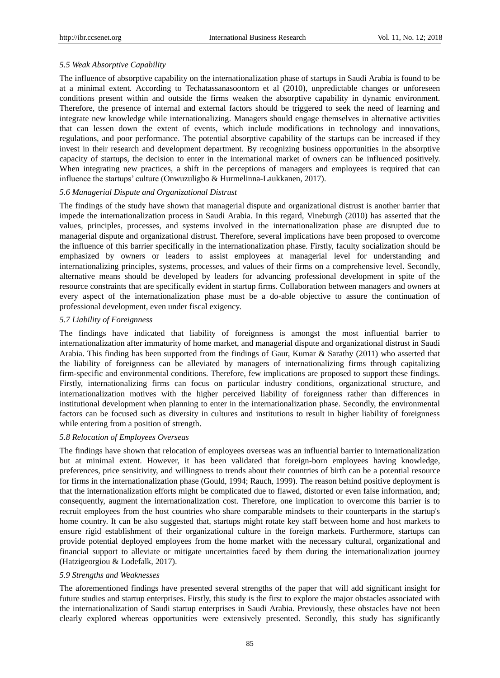# *5.5 Weak Absorptive Capability*

The influence of absorptive capability on the internationalization phase of startups in Saudi Arabia is found to be at a minimal extent. According to Techatassanasoontorn et al (2010), unpredictable changes or unforeseen conditions present within and outside the firms weaken the absorptive capability in dynamic environment. Therefore, the presence of internal and external factors should be triggered to seek the need of learning and integrate new knowledge while internationalizing. Managers should engage themselves in alternative activities that can lessen down the extent of events, which include modifications in technology and innovations, regulations, and poor performance. The potential absorptive capability of the startups can be increased if they invest in their research and development department. By recognizing business opportunities in the absorptive capacity of startups, the decision to enter in the international market of owners can be influenced positively. When integrating new practices, a shift in the perceptions of managers and employees is required that can influence the startups' culture (Onwuzuligbo & Hurmelinna-Laukkanen, 2017).

## *5.6 Managerial Dispute and Organizational Distrust*

The findings of the study have shown that managerial dispute and organizational distrust is another barrier that impede the internationalization process in Saudi Arabia. In this regard, Vineburgh (2010) has asserted that the values, principles, processes, and systems involved in the internationalization phase are disrupted due to managerial dispute and organizational distrust. Therefore, several implications have been proposed to overcome the influence of this barrier specifically in the internationalization phase. Firstly, faculty socialization should be emphasized by owners or leaders to assist employees at managerial level for understanding and internationalizing principles, systems, processes, and values of their firms on a comprehensive level. Secondly, alternative means should be developed by leaders for advancing professional development in spite of the resource constraints that are specifically evident in startup firms. Collaboration between managers and owners at every aspect of the internationalization phase must be a do-able objective to assure the continuation of professional development, even under fiscal exigency.

#### *5.7 Liability of Foreignness*

The findings have indicated that liability of foreignness is amongst the most influential barrier to internationalization after immaturity of home market, and managerial dispute and organizational distrust in Saudi Arabia. This finding has been supported from the findings of Gaur, Kumar & Sarathy (2011) who asserted that the liability of foreignness can be alleviated by managers of internationalizing firms through capitalizing firm-specific and environmental conditions. Therefore, few implications are proposed to support these findings. Firstly, internationalizing firms can focus on particular industry conditions, organizational structure, and internationalization motives with the higher perceived liability of foreignness rather than differences in institutional development when planning to enter in the internationalization phase. Secondly, the environmental factors can be focused such as diversity in cultures and institutions to result in higher liability of foreignness while entering from a position of strength.

# *5.8 Relocation of Employees Overseas*

The findings have shown that relocation of employees overseas was an influential barrier to internationalization but at minimal extent. However, it has been validated that foreign-born employees having knowledge, preferences, price sensitivity, and willingness to trends about their countries of birth can be a potential resource for firms in the internationalization phase (Gould, 1994; Rauch, 1999). The reason behind positive deployment is that the internationalization efforts might be complicated due to flawed, distorted or even false information, and; consequently, augment the internationalization cost. Therefore, one implication to overcome this barrier is to recruit employees from the host countries who share comparable mindsets to their counterparts in the startup's home country. It can be also suggested that, startups might rotate key staff between home and host markets to ensure rigid establishment of their organizational culture in the foreign markets. Furthermore, startups can provide potential deployed employees from the home market with the necessary cultural, organizational and financial support to alleviate or mitigate uncertainties faced by them during the internationalization journey (Hatzigeorgiou & Lodefalk, 2017).

#### *5.9 Strengths and Weaknesses*

The aforementioned findings have presented several strengths of the paper that will add significant insight for future studies and startup enterprises. Firstly, this study is the first to explore the major obstacles associated with the internationalization of Saudi startup enterprises in Saudi Arabia. Previously, these obstacles have not been clearly explored whereas opportunities were extensively presented. Secondly, this study has significantly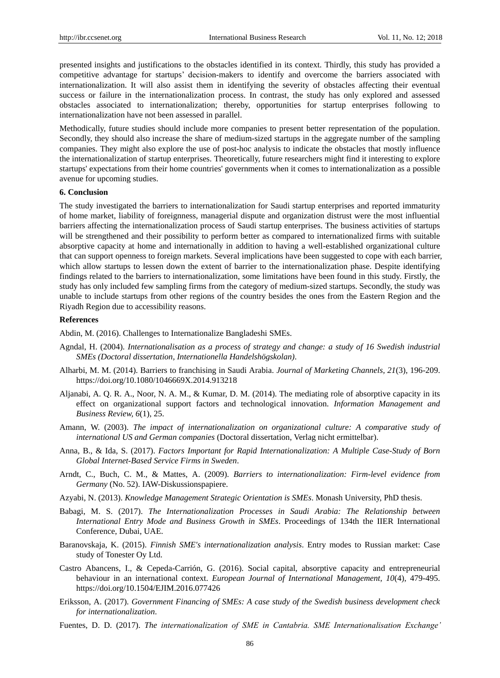presented insights and justifications to the obstacles identified in its context. Thirdly, this study has provided a competitive advantage for startups' decision-makers to identify and overcome the barriers associated with internationalization. It will also assist them in identifying the severity of obstacles affecting their eventual success or failure in the internationalization process. In contrast, the study has only explored and assessed obstacles associated to internationalization; thereby, opportunities for startup enterprises following to internationalization have not been assessed in parallel.

Methodically, future studies should include more companies to present better representation of the population. Secondly, they should also increase the share of medium-sized startups in the aggregate number of the sampling companies. They might also explore the use of post-hoc analysis to indicate the obstacles that mostly influence the internationalization of startup enterprises. Theoretically, future researchers might find it interesting to explore startups' expectations from their home countries' governments when it comes to internationalization as a possible avenue for upcoming studies.

## **6. Conclusion**

The study investigated the barriers to internationalization for Saudi startup enterprises and reported immaturity of home market, liability of foreignness, managerial dispute and organization distrust were the most influential barriers affecting the internationalization process of Saudi startup enterprises. The business activities of startups will be strengthened and their possibility to perform better as compared to internationalized firms with suitable absorptive capacity at home and internationally in addition to having a well-established organizational culture that can support openness to foreign markets. Several implications have been suggested to cope with each barrier, which allow startups to lessen down the extent of barrier to the internationalization phase. Despite identifying findings related to the barriers to internationalization, some limitations have been found in this study. Firstly, the study has only included few sampling firms from the category of medium-sized startups. Secondly, the study was unable to include startups from other regions of the country besides the ones from the Eastern Region and the Riyadh Region due to accessibility reasons.

#### **References**

Abdin, M. (2016). Challenges to Internationalize Bangladeshi SMEs.

- Agndal, H. (2004). *Internationalisation as a process of strategy and change: a study of 16 Swedish industrial SMEs (Doctoral dissertation, Internationella Handelshögskolan)*.
- Alharbi, M. M. (2014). Barriers to franchising in Saudi Arabia. *Journal of Marketing Channels, 21*(3), 196-209. https://doi.org/10.1080/1046669X.2014.913218
- Aljanabi, A. Q. R. A., Noor, N. A. M., & Kumar, D. M. (2014). The mediating role of absorptive capacity in its effect on organizational support factors and technological innovation. *Information Management and Business Review, 6*(1), 25.
- Amann, W. (2003). *The impact of internationalization on organizational culture: A comparative study of international US and German companies* (Doctoral dissertation, Verlag nicht ermittelbar).
- Anna, B., & Ida, S. (2017). *Factors Important for Rapid Internationalization: A Multiple Case-Study of Born Global Internet-Based Service Firms in Sweden*.
- Arndt, C., Buch, C. M., & Mattes, A. (2009). *Barriers to internationalization: Firm-level evidence from Germany* (No. 52). IAW-Diskussionspapiere.
- Azyabi, N. (2013). *Knowledge Management Strategic Orientation is SMEs*. Monash University, PhD thesis.
- Babagi, M. S. (2017). *The Internationalization Processes in Saudi Arabia: The Relationship between International Entry Mode and Business Growth in SMEs*. Proceedings of 134th the IIER International Conference, Dubai, UAE.
- Baranovskaja, K. (2015). *Finnish SME's internationalization analysis*. Entry modes to Russian market: Case study of Tonester Oy Ltd.
- Castro Abancens, I., & Cepeda-Carrión, G. (2016). Social capital, absorptive capacity and entrepreneurial behaviour in an international context. *European Journal of International Management, 10*(4), 479-495. https://doi.org/10.1504/EJIM.2016.077426
- Eriksson, A. (2017). *Government Financing of SMEs: A case study of the Swedish business development check for internationalization*.
- Fuentes, D. D. (2017). *The internationalization of SME in Cantabria. SME Internationalisation Exchange'*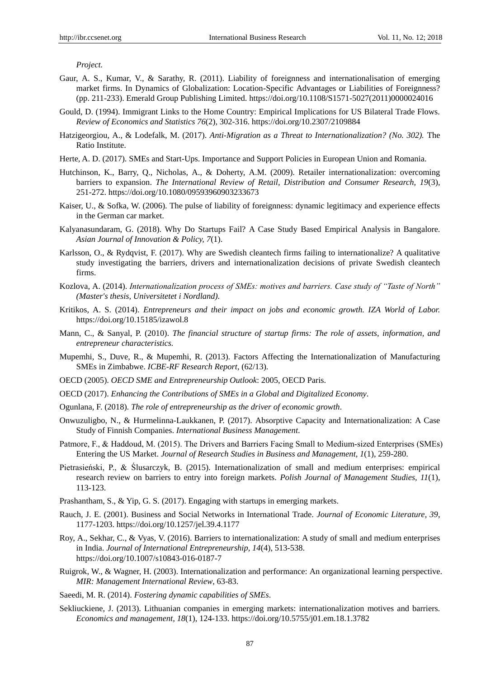*Project.*

- Gaur, A. S., Kumar, V., & Sarathy, R. (2011). Liability of foreignness and internationalisation of emerging market firms. In Dynamics of Globalization: Location-Specific Advantages or Liabilities of Foreignness? (pp. 211-233). Emerald Group Publishing Limited. https://doi.org/10.1108/S1571-5027(2011)0000024016
- Gould, D. (1994). Immigrant Links to the Home Country: Empirical Implications for US Bilateral Trade Flows. *Review of Economics and Statistics 76*(2), 302-316. https://doi.org/10.2307/2109884
- Hatzigeorgiou, A., & Lodefalk, M. (2017). *Anti-Migration as a Threat to Internationalization? (No. 302).* The Ratio Institute.
- Herte, A. D. (2017). SMEs and Start-Ups. Importance and Support Policies in European Union and Romania.
- Hutchinson, K., Barry, Q., Nicholas, A., & Doherty, A.M. (2009). Retailer internationalization: overcoming barriers to expansion. *The International Review of Retail, Distribution and Consumer Research, 19*(3), 251-272. https://doi.org/10.1080/09593960903233673
- Kaiser, U., & Sofka, W. (2006). The pulse of liability of foreignness: dynamic legitimacy and experience effects in the German car market.
- Kalyanasundaram, G. (2018). Why Do Startups Fail? A Case Study Based Empirical Analysis in Bangalore. *Asian Journal of Innovation & Policy, 7*(1).
- Karlsson, O., & Rydqvist, F. (2017). Why are Swedish cleantech firms failing to internationalize? A qualitative study investigating the barriers, drivers and internationalization decisions of private Swedish cleantech firms.
- Kozlova, A. (2014). *Internationalization process of SMEs: motives and barriers. Case study of "Taste of North" (Master's thesis, Universitetet i Nordland).*
- Kritikos, A. S. (2014). *Entrepreneurs and their impact on jobs and economic growth. IZA World of Labor.* https://doi.org/10.15185/izawol.8
- Mann, C., & Sanyal, P. (2010). *The financial structure of startup firms: The role of assets, information, and entrepreneur characteristics.*
- Mupemhi, S., Duve, R., & Mupemhi, R. (2013). Factors Affecting the Internationalization of Manufacturing SMEs in Zimbabwe. *ICBE-RF Research Report*, (62/13).
- OECD (2005). *OECD SME and Entrepreneurship Outlook*: 2005, OECD Paris.
- OECD (2017). *Enhancing the Contributions of SMEs in a Global and Digitalized Economy*.
- Ogunlana, F. (2018). *The role of entrepreneurship as the driver of economic growth*.
- Onwuzuligbo, N., & Hurmelinna-Laukkanen, P. (2017). Absorptive Capacity and Internationalization: A Case Study of Finnish Companies. *International Business Management*.
- Patmore, F., & Haddoud, M. (2015). The Drivers and Barriers Facing Small to Medium‐sized Enterprises (SMEs) Entering the US Market. *Journal of Research Studies in Business and Management, 1*(1), 259-280.
- Pietrasieński, P., & Ślusarczyk, B. (2015). Internationalization of small and medium enterprises: empirical research review on barriers to entry into foreign markets. *Polish Journal of Management Studies, 11*(1), 113-123.
- Prashantham, S., & Yip, G. S. (2017). Engaging with startups in emerging markets.
- Rauch, J. E. (2001). Business and Social Networks in International Trade. *Journal of Economic Literature, 39*, 1177-1203. https://doi.org/10.1257/jel.39.4.1177
- Roy, A., Sekhar, C., & Vyas, V. (2016). Barriers to internationalization: A study of small and medium enterprises in India. *Journal of International Entrepreneurship, 14*(4), 513-538. https://doi.org/10.1007/s10843-016-0187-7
- Ruigrok, W., & Wagner, H. (2003). Internationalization and performance: An organizational learning perspective. *MIR: Management International Review*, 63-83.
- Saeedi, M. R. (2014). *Fostering dynamic capabilities of SMEs*.
- Sekliuckiene, J. (2013). Lithuanian companies in emerging markets: internationalization motives and barriers. *Economics and management, 18*(1), 124-133. https://doi.org/10.5755/j01.em.18.1.3782